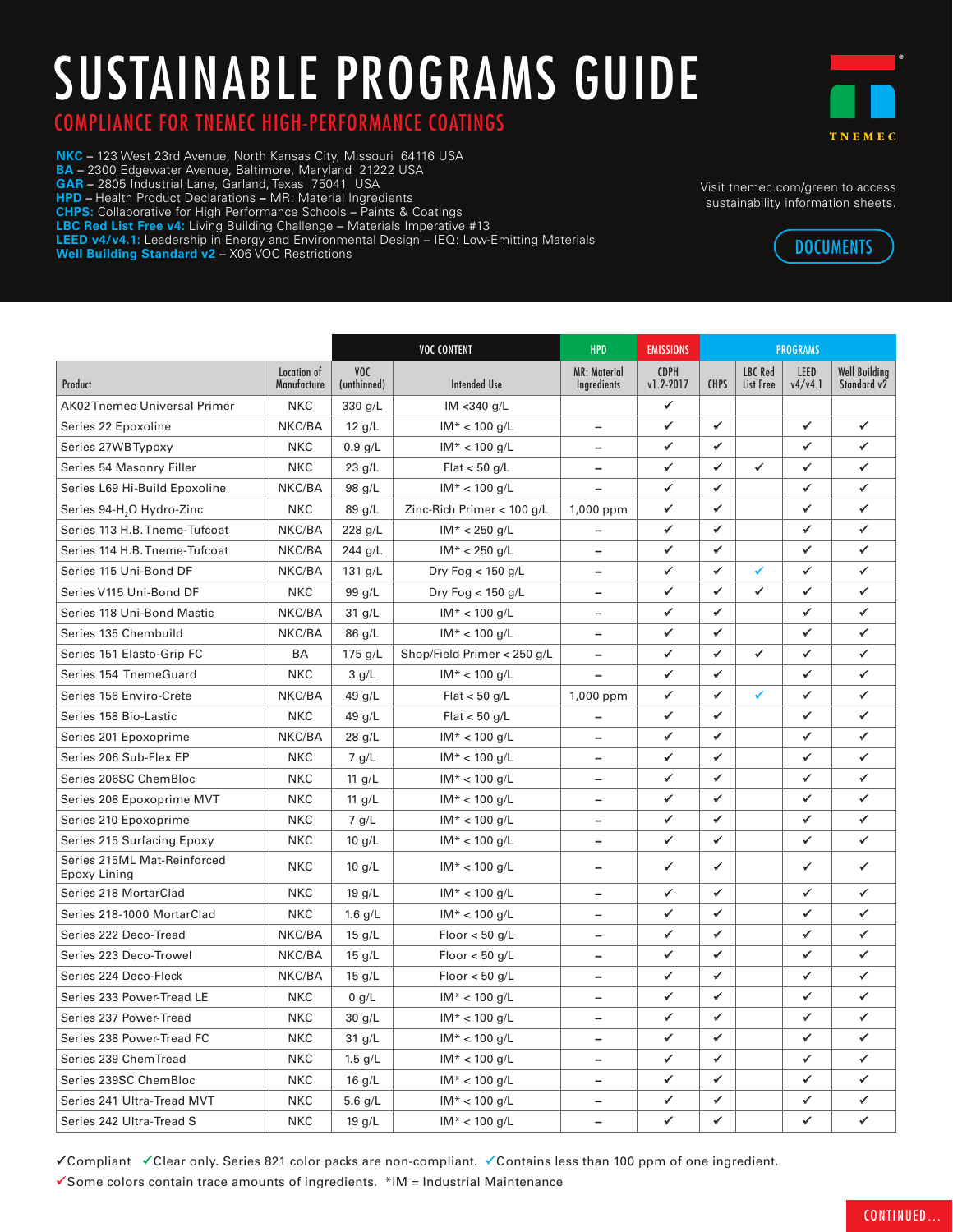## SUSTAINABLE PROGRAMS GUIDE

## COMPLIANCE FOR TNEMEC HIGH-PERFORMANCE COATINGS

TNEMEC

Visit tnemec.com/green to access sustainability information sheets.

**[DOCUMENTS](https://tnemec.com/product-documents/LEED-Documents/)** 

**NKC** – 123 West 23rd Avenue, North Kansas City, Missouri 64116 USA **BA** – 2300 Edgewater Avenue, Baltimore, Maryland 21222 USA **GAR** – 2805 Industrial Lane, Garland, Texas 75041 USA **HPD** – Health Product Declarations **–** MR: Material Ingredients **CHPS:** Collaborative for High Performance Schools – Paints & Coatings **LBC Red List Free v4:** Living Building Challenge – Materials Imperative #13 **LEED v4/v4.1:** Leadership in Energy and Environmental Design – IEQ: Low-Emitting Materials

**Well Building Standard v2** – X06 VOC Restrictions

|                                             |                            | <b>VOC CONTENT</b> |                              | <b>HPD</b>                         | <b>EMISSIONS</b>         | <b>PROGRAMS</b> |                      |                 |                                     |
|---------------------------------------------|----------------------------|--------------------|------------------------------|------------------------------------|--------------------------|-----------------|----------------------|-----------------|-------------------------------------|
| Product                                     | Location of<br>Manufacture | VOC<br>(unthinned) | <b>Intended Use</b>          | <b>MR: Material</b><br>Ingredients | <b>CDPH</b><br>v1.2-2017 | <b>CHPS</b>     | LBC Red<br>List Free | LEED<br>v4/v4.1 | <b>Well Building</b><br>Standard v2 |
| <b>AK02 Tnemec Universal Primer</b>         | <b>NKC</b>                 | 330 g/L            | IM < 340 g/L                 |                                    | ✔                        |                 |                      |                 |                                     |
| Series 22 Epoxoline                         | NKC/BA                     | $12$ g/L           | $IM* < 100$ g/L              | $\overline{\phantom{0}}$           | ✓                        | ✓               |                      | ✓               | ✓                                   |
| Series 27WB Typoxy                          | <b>NKC</b>                 | $0.9$ g/L          | $IM* < 100$ g/L              | $\equiv$                           | ✔                        | ✓               |                      | ✓               | ✓                                   |
| Series 54 Masonry Filler                    | <b>NKC</b>                 | 23 g/L             | Flat $<$ 50 g/L              | $\overline{\phantom{0}}$           | ✔                        | ✓               | ✓                    | ✓               | ✔                                   |
| Series L69 Hi-Build Epoxoline               | NKC/BA                     | 98 g/L             | $IM* < 100$ g/L              | $\overline{\phantom{0}}$           | ✔                        | $\checkmark$    |                      | ✓               | $\checkmark$                        |
| Series 94-H <sub>2</sub> O Hydro-Zinc       | <b>NKC</b>                 | $89$ g/L           | Zinc-Rich Primer $<$ 100 g/L | 1,000 ppm                          | ✔                        | ✓               |                      | ✓               | ✓                                   |
| Series 113 H.B. Tneme-Tufcoat               | NKC/BA                     | $228$ g/L          | $IM* < 250$ g/L              |                                    | ✔                        | ✓               |                      | ✓               | ✓                                   |
| Series 114 H.B. Tneme-Tufcoat               | NKC/BA                     | 244 g/L            | $IM* < 250$ g/L              | $\overline{\phantom{0}}$           | ✔                        | $\checkmark$    |                      | ✓               | ✓                                   |
| Series 115 Uni-Bond DF                      | NKC/BA                     | 131 g/L            | Dry Fog $<$ 150 g/L          | $\overline{\phantom{0}}$           | $\checkmark$             | $\checkmark$    | ✔                    | ✓               | $\checkmark$                        |
| Series V115 Uni-Bond DF                     | <b>NKC</b>                 | $99$ g/L           | Dry Fog $<$ 150 g/L          |                                    | ✓                        | ✓               | ✓                    | ✓               | ✓                                   |
| Series 118 Uni-Bond Mastic                  | NKC/BA                     | $31$ g/L           | $IM* < 100$ g/L              | $\overline{\phantom{0}}$           | ✔                        | $\checkmark$    |                      | ✓               | ✓                                   |
| Series 135 Chembuild                        | NKC/BA                     | 86 g/L             | $IM* < 100$ g/L              | $\equiv$                           | $\checkmark$             | $\checkmark$    |                      | $\checkmark$    | ✓                                   |
| Series 151 Elasto-Grip FC                   | <b>BA</b>                  | 175 g/L            | Shop/Field Primer < 250 g/L  | $\overline{a}$                     | $\checkmark$             | $\checkmark$    | ✓                    | ✓               | $\checkmark$                        |
| Series 154 TnemeGuard                       | <b>NKC</b>                 | $3$ g/L            | $IM* < 100$ g/L              |                                    | ✔                        | $\checkmark$    |                      | ✓               | ✓                                   |
| Series 156 Enviro-Crete                     | NKC/BA                     | 49 $g/L$           | Flat $<$ 50 g/L              | $1,000$ ppm                        | ✓                        | $\checkmark$    | ✔                    | ✓               | $\checkmark$                        |
| Series 158 Bio-Lastic                       | <b>NKC</b>                 | 49 g/L             | Flat $<$ 50 g/L              | $\overline{\phantom{0}}$           | ✔                        | ✓               |                      | ✓               | ✓                                   |
| Series 201 Epoxoprime                       | NKC/BA                     | $28$ g/L           | $IM* < 100$ g/L              | $\overline{\phantom{0}}$           | ✔                        | ✓               |                      | ✓               | ✓                                   |
| Series 206 Sub-Flex EP                      | <b>NKC</b>                 | $7$ g/L            | $IM* < 100$ g/L              |                                    | ✔                        | $\checkmark$    |                      | ✓               | ✓                                   |
| Series 206SC ChemBloc                       | <b>NKC</b>                 | 11 $g/L$           | $IM* < 100$ g/L              | $\overline{\phantom{0}}$           | ✔                        | $\checkmark$    |                      | ✓               | ✔                                   |
| Series 208 Epoxoprime MVT                   | <b>NKC</b>                 | 11 $g/L$           | $IM* < 100$ g/L              | $\overline{a}$                     | ✔                        | ✓               |                      | ✓               | ✓                                   |
| Series 210 Epoxoprime                       | <b>NKC</b>                 | $7$ g/L            | $IM* < 100$ g/L              | $\overline{\phantom{0}}$           | ✔                        | $\checkmark$    |                      | ✓               | ✓                                   |
| Series 215 Surfacing Epoxy                  | <b>NKC</b>                 | 10 $g/L$           | $IM* < 100$ g/L              | $\overline{\phantom{0}}$           | $\checkmark$             | $\checkmark$    |                      | ✓               | ✓                                   |
| Series 215ML Mat-Reinforced<br>Epoxy Lining | <b>NKC</b>                 | $10$ g/L           | $IM* < 100$ g/L              | $\overline{\phantom{0}}$           | ✔                        | ✓               |                      | ✓               | ✓                                   |
| Series 218 MortarClad                       | <b>NKC</b>                 | 19 $q/L$           | $IM* < 100$ g/L              | $\equiv$                           | ✓                        | $\checkmark$    |                      | $\checkmark$    | ✓                                   |
| Series 218-1000 MortarClad                  | <b>NKC</b>                 | 1.6 $g/L$          | $IM* < 100$ g/L              | -                                  | ✔                        | $\checkmark$    |                      | ✓               | ✓                                   |
| Series 222 Deco-Tread                       | NKC/BA                     | $15$ g/L           | Floor $<$ 50 g/L             | $\equiv$                           | ✔                        | $\checkmark$    |                      | ✓               | ✔                                   |
| Series 223 Deco-Trowel                      | NKC/BA                     | $15$ g/L           | Floor $<$ 50 g/L             | $\overline{a}$                     | $\checkmark$             | $\checkmark$    |                      | ✓               | ✓                                   |
| Series 224 Deco-Fleck                       | NKC/BA                     | $15$ g/L           | Floor $<$ 50 g/L             | $\overline{\phantom{0}}$           | ✔                        | $\checkmark$    |                      | ✓               | $\checkmark$                        |
| Series 233 Power-Tread LE                   | <b>NKC</b>                 | 0 g/L              | $IM* < 100 g/L$              | $\overline{\phantom{0}}$           | ✔                        | $\checkmark$    |                      | ✓               | ✓                                   |
| Series 237 Power-Tread                      | <b>NKC</b>                 | $30$ g/L           | $IM* < 100$ g/L              | $\overline{\phantom{0}}$           | ✔                        | ✓               |                      | ✓               | ✓                                   |
| Series 238 Power-Tread FC                   | <b>NKC</b>                 | $31$ g/L           | $IM* < 100$ g/L              | $\equiv$                           | ✔                        | $\checkmark$    |                      | ✓               | ✓                                   |
| Series 239 ChemTread                        | <b>NKC</b>                 | $1.5$ g/L          | $IM* < 100$ g/L              |                                    | ✓                        | $\checkmark$    |                      | $\checkmark$    | ✓                                   |
| Series 239SC ChemBloc                       | <b>NKC</b>                 | $16$ g/L           | $IM* < 100$ g/L              |                                    | ✓                        | ✓               |                      | ✓               | ✓                                   |
| Series 241 Ultra-Tread MVT                  | <b>NKC</b>                 | 5.6 $g/L$          | $IM* < 100$ g/L              |                                    | ✓                        | ✓               |                      | ✓               | ✓                                   |
| Series 242 Ultra-Tread S                    | <b>NKC</b>                 | 19 $g/L$           | $IM* < 100$ g/L              |                                    | ✓                        | $\checkmark$    |                      | ✓               | $\checkmark$                        |

√Compliant √Clear only. Series 821 color packs are non-compliant. √Contains less than 100 ppm of one ingredient.

Some colors contain trace amounts of ingredients.  $*IM =$  Industrial Maintenance